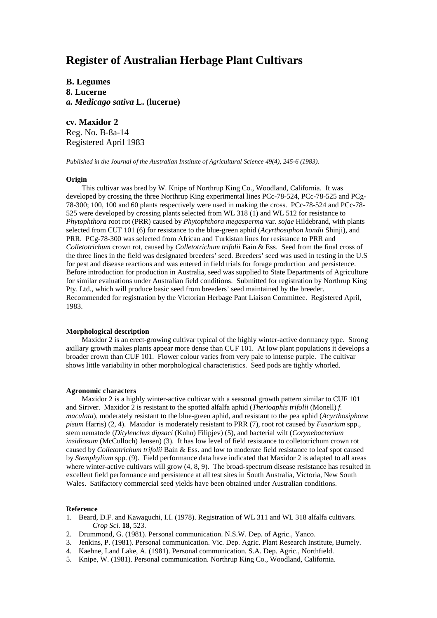# **Register of Australian Herbage Plant Cultivars**

**B. Legumes 8. Lucerne** *a. Medicago sativa* **L. (lucerne)**

**cv. Maxidor 2** Reg. No. B-8a-14 Registered April 1983

*Published in the Journal of the Australian Institute of Agricultural Science 49(4), 245-6 (1983).*

# **Origin**

This cultivar was bred by W. Knipe of Northrup King Co., Woodland, California. It was developed by crossing the three Northrup King experimental lines PCc-78-524, PCc-78-525 and PCg-78-300; 100, 100 and 60 plants respectively were used in making the cross. PCc-78-524 and PCc-78- 525 were developed by crossing plants selected from WL 318 (1) and WL 512 for resistance to *Phytophthora* root rot (PRR) caused by *Phytophthora megasperma* var. *sojae* Hildebrand, with plants selected from CUF 101 (6) for resistance to the blue-green aphid (*Acyrthosiphon kondii* Shinji), and PRR. PCg-78-300 was selected from African and Turkistan lines for resistance to PRR and *Colletotrichum* crown rot, caused by *Colletotrichum trifolii* Bain & Ess. Seed from the final cross of the three lines in the field was designated breeders' seed. Breeders' seed was used in testing in the U.S for pest and disease reactions and was entered in field trials for forage production and persistence. Before introduction for production in Australia, seed was supplied to State Departments of Agriculture for similar evaluations under Australian field conditions. Submitted for registration by Northrup King Pty. Ltd., which will produce basic seed from breeders' seed maintained by the breeder. Recommended for registration by the Victorian Herbage Pant Liaison Committee. Registered April, 1983.

## **Morphological description**

Maxidor 2 is an erect-growing cultivar typical of the highly winter-active dormancy type. Strong axillary growth makes plants appear more dense than CUF 101. At low plant populations it develops a broader crown than CUF 101. Flower colour varies from very pale to intense purple. The cultivar shows little variability in other morphological characteristics. Seed pods are tightly whorled.

## **Agronomic characters**

Maxidor 2 is a highly winter-active cultivar with a seasonal growth pattern similar to CUF 101 and Siriver. Maxidor 2 is resistant to the spotted alfalfa aphid (*Therioaphis trifolii* (Monell) *f. maculata*), moderately resistant to the blue-green aphid, and resistant to the pea aphid (*Acyrthosiphone pisum* Harris) (2, 4). Maxidor is moderately resistant to PRR (7), root rot caused by *Fusarium* spp., stem nematode (*Ditylenchus dipsaci* (Kuhn) Filipjev) (5), and bacterial wilt (*Corynebacterium insidiosum* (McCulloch) Jensen) (3). It has low level of field resistance to colletotrichum crown rot caused by *Colletotrichum trifolii* Bain & Ess. and low to moderate field resistance to leaf spot caused by *Stemphylium* spp. (9). Field performance data have indicated that Maxidor 2 is adapted to all areas where winter-active cultivars will grow  $(4, 8, 9)$ . The broad-spectrum disease resistance has resulted in excellent field performance and persistence at all test sites in South Australia, Victoria, New South Wales. Satifactory commercial seed yields have been obtained under Australian conditions.

## **Reference**

- 1. Beard, D.F. and Kawaguchi, I.I. (1978). Registration of WL 311 and WL 318 alfalfa cultivars. *Crop Sci.* **18**, 523.
- 2. Drummond, G. (1981). Personal communication. N.S.W. Dep. of Agric., Yanco.
- 3. Jenkins, P. (1981). Personal communication. Vic. Dep. Agric. Plant Research Institute, Burnely.
- 4. Kaehne, I.and Lake, A. (1981). Personal communication. S.A. Dep. Agric., Northfield.
- 5. Knipe, W. (1981). Personal communication. Northrup King Co., Woodland, California.